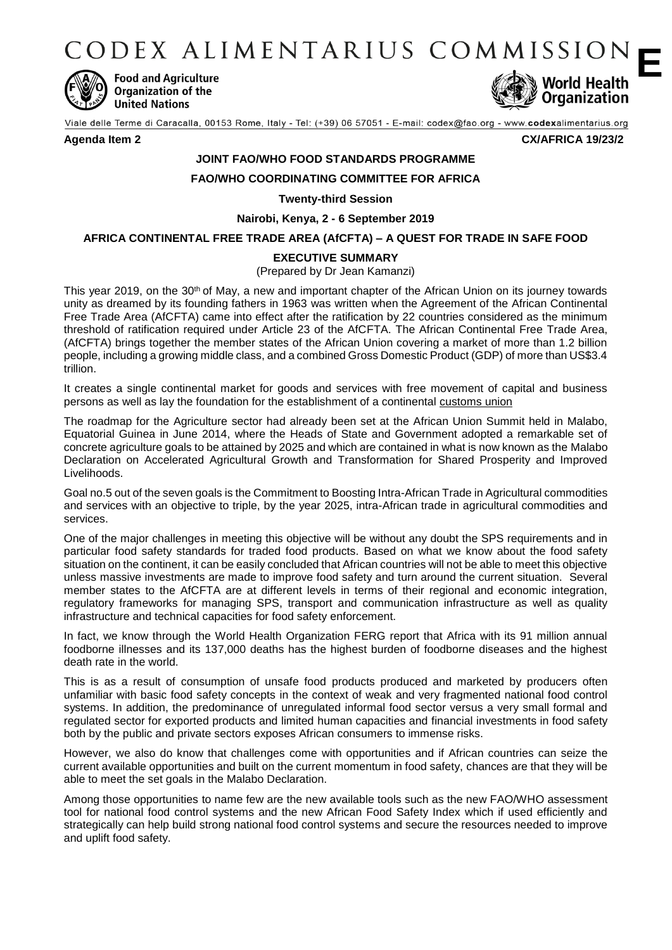CODEX ALIMENTARIUS COMMISSION **E**



**Food and Agriculture Organization of the United Nations** 



Viale delle Terme di Caracalla, 00153 Rome, Italy - Tel: (+39) 06 57051 - E-mail: codex@fao.org - www.codexalimentarius.org

#### **Agenda Item 2 CX/AFRICA 19/23/2**

# **JOINT FAO/WHO FOOD STANDARDS PROGRAMME**

### **FAO/WHO COORDINATING COMMITTEE FOR AFRICA**

**Twenty-third Session**

**Nairobi, Kenya, 2 - 6 September 2019**

#### **AFRICA CONTINENTAL FREE TRADE AREA (AfCFTA) – A QUEST FOR TRADE IN SAFE FOOD**

## **EXECUTIVE SUMMARY**

(Prepared by Dr Jean Kamanzi)

This year 2019, on the 30<sup>th</sup> of May, a new and important chapter of the African Union on its journey towards unity as dreamed by its founding fathers in 1963 was written when the Agreement of the African Continental Free Trade Area (AfCFTA) came into effect after the ratification by 22 countries considered as the minimum threshold of ratification required under Article 23 of the AfCFTA. The African Continental Free Trade Area, (AfCFTA) brings together the member states of the African Union covering a market of more than 1.2 billion people, including a growing middle class, and a combined Gross Domestic Product (GDP) of more than US\$3.4 trillion.

It creates a single continental market for goods and services with free movement of capital and business persons as well as lay the foundation for the establishment of a continental [customs union](http://www.economicsonline.co.uk/Global_economics/Customs_unions.html)

The roadmap for the Agriculture sector had already been set at the African Union Summit held in Malabo, Equatorial Guinea in June 2014, where the Heads of State and Government adopted a remarkable set of concrete agriculture goals to be attained by 2025 and which are contained in what is now known as the Malabo Declaration on Accelerated Agricultural Growth and Transformation for Shared Prosperity and Improved Livelihoods.

Goal no.5 out of the seven goals is the Commitment to Boosting Intra-African Trade in Agricultural commodities and services with an objective to triple, by the year 2025, intra-African trade in agricultural commodities and services.

One of the major challenges in meeting this objective will be without any doubt the SPS requirements and in particular food safety standards for traded food products. Based on what we know about the food safety situation on the continent, it can be easily concluded that African countries will not be able to meet this objective unless massive investments are made to improve food safety and turn around the current situation. Several member states to the AfCFTA are at different levels in terms of their regional and economic integration, regulatory frameworks for managing SPS, transport and communication infrastructure as well as quality infrastructure and technical capacities for food safety enforcement.

In fact, we know through the World Health Organization FERG report that Africa with its 91 million annual foodborne illnesses and its 137,000 deaths has the highest burden of foodborne diseases and the highest death rate in the world.

This is as a result of consumption of unsafe food products produced and marketed by producers often unfamiliar with basic food safety concepts in the context of weak and very fragmented national food control systems. In addition, the predominance of unregulated informal food sector versus a very small formal and regulated sector for exported products and limited human capacities and financial investments in food safety both by the public and private sectors exposes African consumers to immense risks.

However, we also do know that challenges come with opportunities and if African countries can seize the current available opportunities and built on the current momentum in food safety, chances are that they will be able to meet the set goals in the Malabo Declaration.

Among those opportunities to name few are the new available tools such as the new FAO/WHO assessment tool for national food control systems and the new African Food Safety Index which if used efficiently and strategically can help build strong national food control systems and secure the resources needed to improve and uplift food safety.